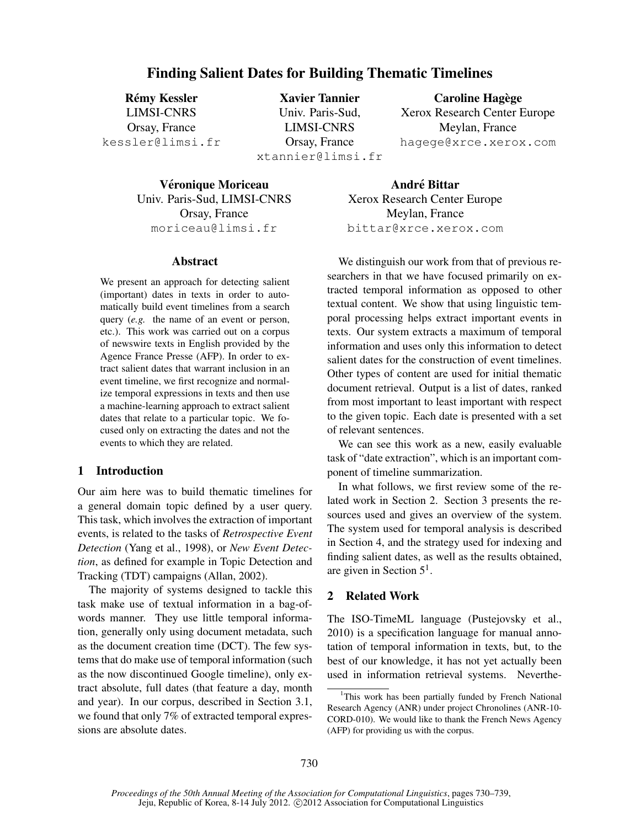# Finding Salient Dates for Building Thematic Timelines

**Rémy Kessler** LIMSI-CNRS Orsay, France kessler@limsi.fr

Xavier Tannier Univ. Paris-Sud, LIMSI-CNRS Orsay, France xtannier@limsi.fr

Caroline Hagège Xerox Research Center Europe Meylan, France hagege@xrce.xerox.com

Véronique Moriceau Univ. Paris-Sud, LIMSI-CNRS Orsay, France moriceau@limsi.fr

#### Abstract

We present an approach for detecting salient (important) dates in texts in order to automatically build event timelines from a search query (*e.g.* the name of an event or person, etc.). This work was carried out on a corpus of newswire texts in English provided by the Agence France Presse (AFP). In order to extract salient dates that warrant inclusion in an event timeline, we first recognize and normalize temporal expressions in texts and then use a machine-learning approach to extract salient dates that relate to a particular topic. We focused only on extracting the dates and not the events to which they are related.

# 1 Introduction

Our aim here was to build thematic timelines for a general domain topic defined by a user query. This task, which involves the extraction of important events, is related to the tasks of *Retrospective Event Detection* (Yang et al., 1998), or *New Event Detection*, as defined for example in Topic Detection and Tracking (TDT) campaigns (Allan, 2002).

The majority of systems designed to tackle this task make use of textual information in a bag-ofwords manner. They use little temporal information, generally only using document metadata, such as the document creation time (DCT). The few systems that do make use of temporal information (such as the now discontinued Google timeline), only extract absolute, full dates (that feature a day, month and year). In our corpus, described in Section 3.1, we found that only 7% of extracted temporal expressions are absolute dates.

**André Bittar** Xerox Research Center Europe Meylan, France bittar@xrce.xerox.com

We distinguish our work from that of previous researchers in that we have focused primarily on extracted temporal information as opposed to other textual content. We show that using linguistic temporal processing helps extract important events in texts. Our system extracts a maximum of temporal information and uses only this information to detect salient dates for the construction of event timelines. Other types of content are used for initial thematic document retrieval. Output is a list of dates, ranked from most important to least important with respect to the given topic. Each date is presented with a set of relevant sentences.

We can see this work as a new, easily evaluable task of "date extraction", which is an important component of timeline summarization.

In what follows, we first review some of the related work in Section 2. Section 3 presents the resources used and gives an overview of the system. The system used for temporal analysis is described in Section 4, and the strategy used for indexing and finding salient dates, as well as the results obtained, are given in Section  $5<sup>1</sup>$ .

#### 2 Related Work

The ISO-TimeML language (Pustejovsky et al., 2010) is a specification language for manual annotation of temporal information in texts, but, to the best of our knowledge, it has not yet actually been used in information retrieval systems. Neverthe-

<sup>&</sup>lt;sup>1</sup>This work has been partially funded by French National Research Agency (ANR) under project Chronolines (ANR-10- CORD-010). We would like to thank the French News Agency (AFP) for providing us with the corpus.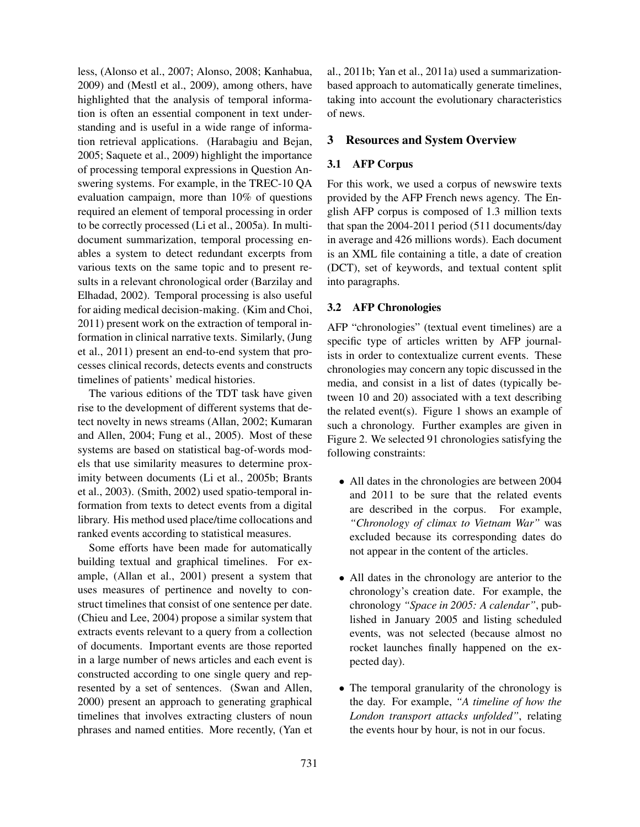less, (Alonso et al., 2007; Alonso, 2008; Kanhabua, 2009) and (Mestl et al., 2009), among others, have highlighted that the analysis of temporal information is often an essential component in text understanding and is useful in a wide range of information retrieval applications. (Harabagiu and Bejan, 2005; Saquete et al., 2009) highlight the importance of processing temporal expressions in Question Answering systems. For example, in the TREC-10 QA evaluation campaign, more than 10% of questions required an element of temporal processing in order to be correctly processed (Li et al., 2005a). In multidocument summarization, temporal processing enables a system to detect redundant excerpts from various texts on the same topic and to present results in a relevant chronological order (Barzilay and Elhadad, 2002). Temporal processing is also useful for aiding medical decision-making. (Kim and Choi, 2011) present work on the extraction of temporal information in clinical narrative texts. Similarly, (Jung et al., 2011) present an end-to-end system that processes clinical records, detects events and constructs timelines of patients' medical histories.

The various editions of the TDT task have given rise to the development of different systems that detect novelty in news streams (Allan, 2002; Kumaran and Allen, 2004; Fung et al., 2005). Most of these systems are based on statistical bag-of-words models that use similarity measures to determine proximity between documents (Li et al., 2005b; Brants et al., 2003). (Smith, 2002) used spatio-temporal information from texts to detect events from a digital library. His method used place/time collocations and ranked events according to statistical measures.

Some efforts have been made for automatically building textual and graphical timelines. For example, (Allan et al., 2001) present a system that uses measures of pertinence and novelty to construct timelines that consist of one sentence per date. (Chieu and Lee, 2004) propose a similar system that extracts events relevant to a query from a collection of documents. Important events are those reported in a large number of news articles and each event is constructed according to one single query and represented by a set of sentences. (Swan and Allen, 2000) present an approach to generating graphical timelines that involves extracting clusters of noun phrases and named entities. More recently, (Yan et al., 2011b; Yan et al., 2011a) used a summarizationbased approach to automatically generate timelines, taking into account the evolutionary characteristics of news.

## 3 Resources and System Overview

## 3.1 AFP Corpus

For this work, we used a corpus of newswire texts provided by the AFP French news agency. The English AFP corpus is composed of 1.3 million texts that span the 2004-2011 period (511 documents/day in average and 426 millions words). Each document is an XML file containing a title, a date of creation (DCT), set of keywords, and textual content split into paragraphs.

### 3.2 AFP Chronologies

AFP "chronologies" (textual event timelines) are a specific type of articles written by AFP journalists in order to contextualize current events. These chronologies may concern any topic discussed in the media, and consist in a list of dates (typically between 10 and 20) associated with a text describing the related event(s). Figure 1 shows an example of such a chronology. Further examples are given in Figure 2. We selected 91 chronologies satisfying the following constraints:

- All dates in the chronologies are between 2004 and 2011 to be sure that the related events are described in the corpus. For example, *"Chronology of climax to Vietnam War"* was excluded because its corresponding dates do not appear in the content of the articles.
- All dates in the chronology are anterior to the chronology's creation date. For example, the chronology *"Space in 2005: A calendar"*, published in January 2005 and listing scheduled events, was not selected (because almost no rocket launches finally happened on the expected day).
- The temporal granularity of the chronology is the day. For example, *"A timeline of how the London transport attacks unfolded"*, relating the events hour by hour, is not in our focus.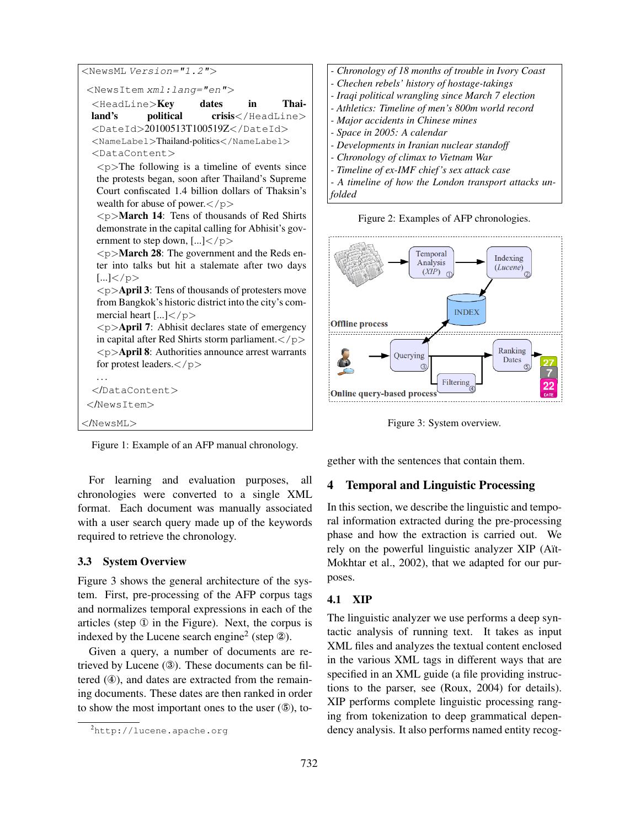```
<NewsML Version="1.2"><NewsItem xml:lang="en">
 <HeadLine>Key dates in Thai-
 land's political crisis</HeadLine>
 <DateId>20100513T100519Z</DateId>
 <NameLabel>Thailand-politics</NameLabel>
 <DataContent>
  \langle p \rangleThe following is a timeline of events since
  the protests began, soon after Thailand's Supreme
  Court confiscated 1.4 billion dollars of Thaksin's
  wealth for abuse of power.\lt/p\langle p \rangleMarch 14: Tens of thousands of Red Shirts
  demonstrate in the capital calling for Abhisit's gov-
  ernment to step down, [...] </p>
  \langle p \rangleMarch 28: The government and the Reds en-
  ter into talks but hit a stalemate after two days
  [...]</p>
  \langle p \rangleApril 3: Tens of thousands of protesters move
  from Bangkok's historic district into the city's com-
  mercial heart \left[\ldots\right] < \left/p\right>\langle p \rangleApril 7: Abhisit declares state of emergency
  in capital after Red Shirts storm parliament.</p>
  \langle p \rangleApril 8: Authorities announce arrest warrants
  for protest leaders.\lt/p. . .
 </DataContent>
</NewsItem>
</NewsML>
```
Figure 1: Example of an AFP manual chronology.

For learning and evaluation purposes, all chronologies were converted to a single XML format. Each document was manually associated with a user search query made up of the keywords required to retrieve the chronology.

## 3.3 System Overview

Figure 3 shows the general architecture of the system. First, pre-processing of the AFP corpus tags and normalizes temporal expressions in each of the articles (step ① in the Figure). Next, the corpus is indexed by the Lucene search engine<sup>2</sup> (step  $\circledA$ ).

Given a query, a number of documents are retrieved by Lucene (③). These documents can be filtered (④), and dates are extracted from the remaining documents. These dates are then ranked in order to show the most important ones to the user  $(\mathbb{S})$ , to-



Figure 2: Examples of AFP chronologies.



Figure 3: System overview.

gether with the sentences that contain them.

# 4 Temporal and Linguistic Processing

In this section, we describe the linguistic and temporal information extracted during the pre-processing phase and how the extraction is carried out. We rely on the powerful linguistic analyzer XIP (Aït-Mokhtar et al., 2002), that we adapted for our purposes.

# 4.1 XIP

The linguistic analyzer we use performs a deep syntactic analysis of running text. It takes as input XML files and analyzes the textual content enclosed in the various XML tags in different ways that are specified in an XML guide (a file providing instructions to the parser, see (Roux, 2004) for details). XIP performs complete linguistic processing ranging from tokenization to deep grammatical dependency analysis. It also performs named entity recog-

<sup>2</sup>http://lucene.apache.org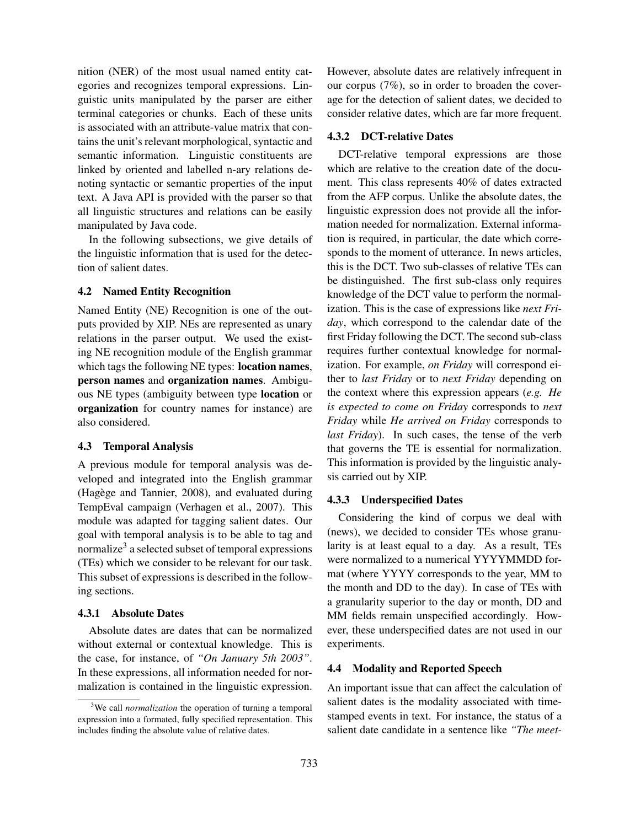nition (NER) of the most usual named entity categories and recognizes temporal expressions. Linguistic units manipulated by the parser are either terminal categories or chunks. Each of these units is associated with an attribute-value matrix that contains the unit's relevant morphological, syntactic and semantic information. Linguistic constituents are linked by oriented and labelled n-ary relations denoting syntactic or semantic properties of the input text. A Java API is provided with the parser so that all linguistic structures and relations can be easily manipulated by Java code.

In the following subsections, we give details of the linguistic information that is used for the detection of salient dates.

### 4.2 Named Entity Recognition

Named Entity (NE) Recognition is one of the outputs provided by XIP. NEs are represented as unary relations in the parser output. We used the existing NE recognition module of the English grammar which tags the following NE types: **location names**, person names and organization names. Ambiguous NE types (ambiguity between type location or organization for country names for instance) are also considered.

### 4.3 Temporal Analysis

A previous module for temporal analysis was developed and integrated into the English grammar (Hagège and Tannier, 2008), and evaluated during TempEval campaign (Verhagen et al., 2007). This module was adapted for tagging salient dates. Our goal with temporal analysis is to be able to tag and normalize<sup>3</sup> a selected subset of temporal expressions (TEs) which we consider to be relevant for our task. This subset of expressions is described in the following sections.

### 4.3.1 Absolute Dates

Absolute dates are dates that can be normalized without external or contextual knowledge. This is the case, for instance, of *"On January 5th 2003"*. In these expressions, all information needed for normalization is contained in the linguistic expression. However, absolute dates are relatively infrequent in our corpus (7%), so in order to broaden the coverage for the detection of salient dates, we decided to consider relative dates, which are far more frequent.

#### 4.3.2 DCT-relative Dates

DCT-relative temporal expressions are those which are relative to the creation date of the document. This class represents 40% of dates extracted from the AFP corpus. Unlike the absolute dates, the linguistic expression does not provide all the information needed for normalization. External information is required, in particular, the date which corresponds to the moment of utterance. In news articles, this is the DCT. Two sub-classes of relative TEs can be distinguished. The first sub-class only requires knowledge of the DCT value to perform the normalization. This is the case of expressions like *next Friday*, which correspond to the calendar date of the first Friday following the DCT. The second sub-class requires further contextual knowledge for normalization. For example, *on Friday* will correspond either to *last Friday* or to *next Friday* depending on the context where this expression appears (*e.g. He is expected to come on Friday* corresponds to *next Friday* while *He arrived on Friday* corresponds to *last Friday*). In such cases, the tense of the verb that governs the TE is essential for normalization. This information is provided by the linguistic analysis carried out by XIP.

### 4.3.3 Underspecified Dates

Considering the kind of corpus we deal with (news), we decided to consider TEs whose granularity is at least equal to a day. As a result, TEs were normalized to a numerical YYYYMMDD format (where YYYY corresponds to the year, MM to the month and DD to the day). In case of TEs with a granularity superior to the day or month, DD and MM fields remain unspecified accordingly. However, these underspecified dates are not used in our experiments.

#### 4.4 Modality and Reported Speech

An important issue that can affect the calculation of salient dates is the modality associated with timestamped events in text. For instance, the status of a salient date candidate in a sentence like *"The meet-*

<sup>3</sup>We call *normalization* the operation of turning a temporal expression into a formated, fully specified representation. This includes finding the absolute value of relative dates.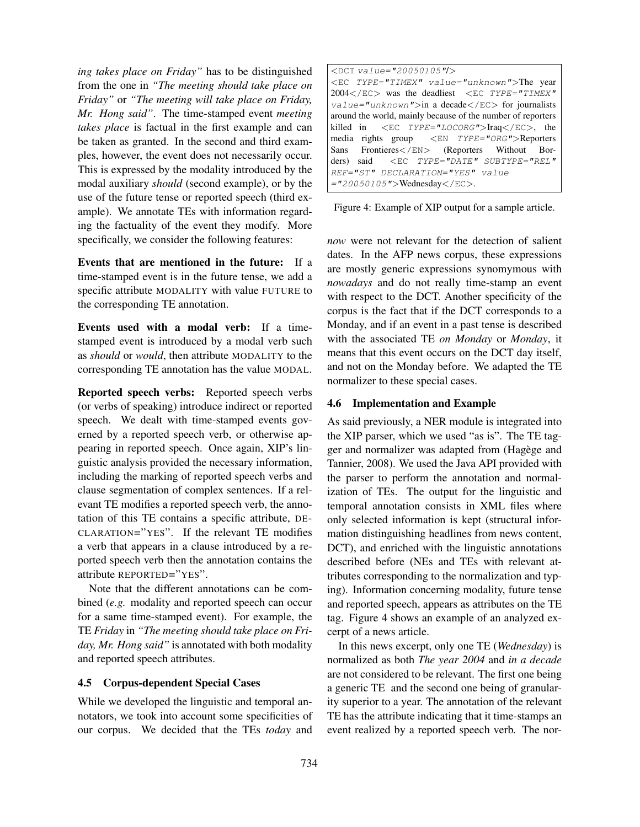*ing takes place on Friday"* has to be distinguished from the one in *"The meeting should take place on Friday"* or *"The meeting will take place on Friday, Mr. Hong said"*. The time-stamped event *meeting takes place* is factual in the first example and can be taken as granted. In the second and third examples, however, the event does not necessarily occur. This is expressed by the modality introduced by the modal auxiliary *should* (second example), or by the use of the future tense or reported speech (third example). We annotate TEs with information regarding the factuality of the event they modify. More specifically, we consider the following features:

Events that are mentioned in the future: If a time-stamped event is in the future tense, we add a specific attribute MODALITY with value FUTURE to the corresponding TE annotation.

Events used with a modal verb: If a timestamped event is introduced by a modal verb such as *should* or *would*, then attribute MODALITY to the corresponding TE annotation has the value MODAL.

Reported speech verbs: Reported speech verbs (or verbs of speaking) introduce indirect or reported speech. We dealt with time-stamped events governed by a reported speech verb, or otherwise appearing in reported speech. Once again, XIP's linguistic analysis provided the necessary information, including the marking of reported speech verbs and clause segmentation of complex sentences. If a relevant TE modifies a reported speech verb, the annotation of this TE contains a specific attribute, DE-CLARATION="YES". If the relevant TE modifies a verb that appears in a clause introduced by a reported speech verb then the annotation contains the attribute REPORTED="YES".

Note that the different annotations can be combined (*e.g.* modality and reported speech can occur for a same time-stamped event). For example, the TE *Friday* in *"The meeting should take place on Friday, Mr. Hong said"* is annotated with both modality and reported speech attributes.

## 4.5 Corpus-dependent Special Cases

While we developed the linguistic and temporal annotators, we took into account some specificities of our corpus. We decided that the TEs *today* and

| $\angle$ DCT value="20050105"/ $>$                                              |
|---------------------------------------------------------------------------------|
| <ec type="TIMEX" value="unknown">The year</ec>                                  |
| 2004 was the deadliest <ec <="" td="" type="TIMEX"></ec>                        |
| $value="unknown">in a decade$ (EC) for journals                                 |
| around the world, mainly because of the number of reporters                     |
| killed in $\langle EC \, IYPE = "LOCORG" > \text{Iraq}\langle ECC \rangle,$ the |
| media rights group <en type="ORG">Reporters</en>                                |
| Sans Frontieres  (Reporters Without Bor-                                        |
| ders) said <ec <="" subtype="REL" td="" type="DATE"></ec>                       |
| REF="ST" DECLARATION="YES" value                                                |
| $=$ "20050105">Wednesday.                                                       |

Figure 4: Example of XIP output for a sample article.

*now* were not relevant for the detection of salient dates. In the AFP news corpus, these expressions are mostly generic expressions synomymous with *nowadays* and do not really time-stamp an event with respect to the DCT. Another specificity of the corpus is the fact that if the DCT corresponds to a Monday, and if an event in a past tense is described with the associated TE *on Monday* or *Monday*, it means that this event occurs on the DCT day itself, and not on the Monday before. We adapted the TE normalizer to these special cases.

#### 4.6 Implementation and Example

As said previously, a NER module is integrated into the XIP parser, which we used "as is". The TE tagger and normalizer was adapted from (Hagège and Tannier, 2008). We used the Java API provided with the parser to perform the annotation and normalization of TEs. The output for the linguistic and temporal annotation consists in XML files where only selected information is kept (structural information distinguishing headlines from news content, DCT), and enriched with the linguistic annotations described before (NEs and TEs with relevant attributes corresponding to the normalization and typing). Information concerning modality, future tense and reported speech, appears as attributes on the TE tag. Figure 4 shows an example of an analyzed excerpt of a news article.

In this news excerpt, only one TE (*Wednesday*) is normalized as both *The year 2004* and *in a decade* are not considered to be relevant. The first one being a generic TE and the second one being of granularity superior to a year. The annotation of the relevant TE has the attribute indicating that it time-stamps an event realized by a reported speech verb. The nor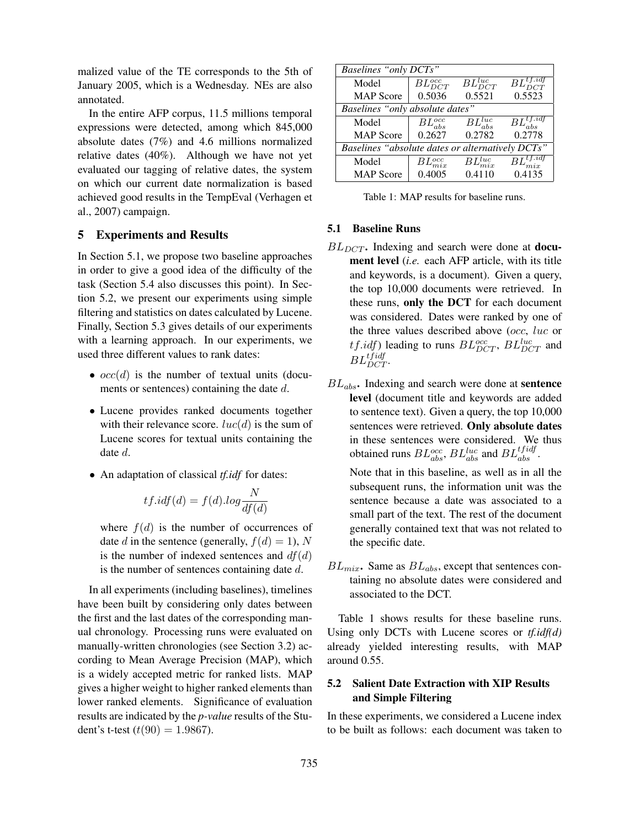malized value of the TE corresponds to the 5th of January 2005, which is a Wednesday. NEs are also annotated.

In the entire AFP corpus, 11.5 millions temporal expressions were detected, among which 845,000 absolute dates (7%) and 4.6 millions normalized relative dates (40%). Although we have not yet evaluated our tagging of relative dates, the system on which our current date normalization is based achieved good results in the TempEval (Verhagen et al., 2007) campaign.

# 5 Experiments and Results

In Section 5.1, we propose two baseline approaches in order to give a good idea of the difficulty of the task (Section 5.4 also discusses this point). In Section 5.2, we present our experiments using simple filtering and statistics on dates calculated by Lucene. Finally, Section 5.3 gives details of our experiments with a learning approach. In our experiments, we used three different values to rank dates:

- $occ(d)$  is the number of textual units (documents or sentences) containing the date d.
- Lucene provides ranked documents together with their relevance score.  $luc(d)$  is the sum of Lucene scores for textual units containing the date d.
- An adaptation of classical *tf.idf* for dates:

$$
tf.idf(d) = f(d).log \frac{N}{df(d)}
$$

where  $f(d)$  is the number of occurrences of date d in the sentence (generally,  $f(d) = 1$ ), N is the number of indexed sentences and  $df(d)$ is the number of sentences containing date  $d$ .

In all experiments (including baselines), timelines have been built by considering only dates between the first and the last dates of the corresponding manual chronology. Processing runs were evaluated on manually-written chronologies (see Section 3.2) according to Mean Average Precision (MAP), which is a widely accepted metric for ranked lists. MAP gives a higher weight to higher ranked elements than lower ranked elements. Significance of evaluation results are indicated by the *p-value* results of the Student's t-test  $(t(90) = 1.9867)$ .

| Baselines "only DCTs"                            |                  |                             |                                |  |
|--------------------------------------------------|------------------|-----------------------------|--------------------------------|--|
| Model                                            | $BL_{DCT}^{occ}$ | $BL_{DCT}^{luc}$            | $BL_{DCT}^{t f. \textit{id}f}$ |  |
| <b>MAP</b> Score                                 | 0.5036           | 0.5521                      | 0.5523                         |  |
| Baselines "only absolute dates"                  |                  |                             |                                |  |
| Model                                            | $BL_{abs}^{occ}$ | $\overline{B}L^{luc}_{abs}$ | $BL_{abs}^{tf. idf}$           |  |
| <b>MAP</b> Score                                 | 0.2627           | 0.2782                      | 0.2778                         |  |
| Baselines "absolute dates or alternatively DCTs" |                  |                             |                                |  |
| Model                                            | $BL_{mix}^{occ}$ | $BL^{luc}_{mix}$            | $BL_{mix}^{tf.idf}$            |  |
| <b>MAP</b> Score                                 | 0.4005           | 0.4110                      | 0.4135                         |  |

Table 1: MAP results for baseline runs.

#### 5.1 Baseline Runs

- $BL_{DCT}$ . Indexing and search were done at **docu**ment level (*i.e.* each AFP article, with its title and keywords, is a document). Given a query, the top 10,000 documents were retrieved. In these runs, only the DCT for each document was considered. Dates were ranked by one of the three values described above (occ, luc or *tf.idf*) leading to runs  $BL_{DCT}^{occ}$ ,  $BL_{DCT}^{luc}$  and  $BL_{DCT}^{tfidf}$ .
- $BL_{abs}$ . Indexing and search were done at sentence level (document title and keywords are added to sentence text). Given a query, the top 10,000 sentences were retrieved. Only absolute dates in these sentences were considered. We thus obtained runs  $BL_{abs}^{occ}$ ,  $BL_{abs}^{luc}$  and  $BL_{abs}^{tfidf}$ .

Note that in this baseline, as well as in all the subsequent runs, the information unit was the sentence because a date was associated to a small part of the text. The rest of the document generally contained text that was not related to the specific date.

 $BL_{mix}$ . Same as  $BL_{abs}$ , except that sentences containing no absolute dates were considered and associated to the DCT.

Table 1 shows results for these baseline runs. Using only DCTs with Lucene scores or *tf.idf(d)* already yielded interesting results, with MAP around 0.55.

# 5.2 Salient Date Extraction with XIP Results and Simple Filtering

In these experiments, we considered a Lucene index to be built as follows: each document was taken to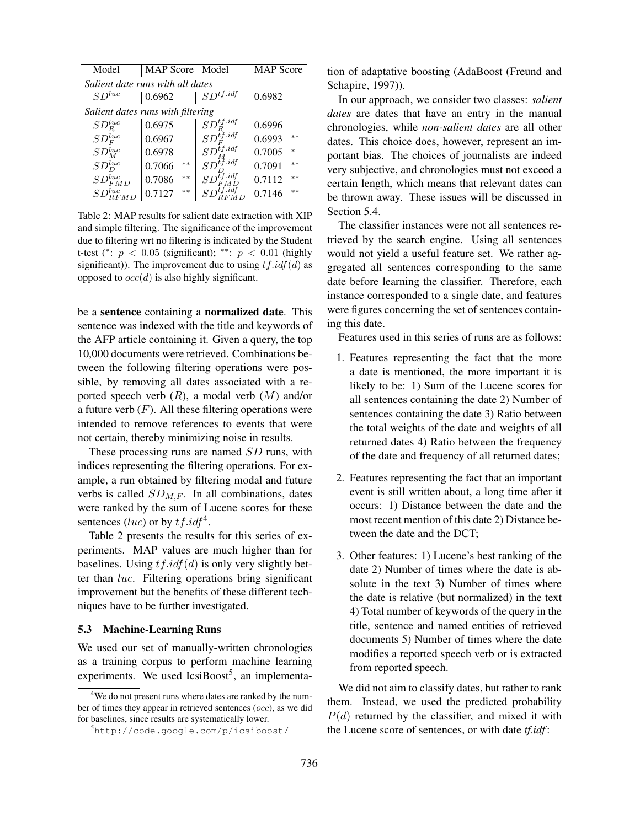| Model                             | MAP Score   Model |                            | <b>MAP</b> Score |  |  |
|-----------------------------------|-------------------|----------------------------|------------------|--|--|
| Salient date runs with all dates  |                   |                            |                  |  |  |
| $SD^{tuc}$                        | 0.6962            | $SD^{tf.idf}$              | 0.6982           |  |  |
| Salient dates runs with filtering |                   |                            |                  |  |  |
| $SD_R^{luc}$                      | 0.6975            | $SD^{tf.id}_{D}$           | 0.6996           |  |  |
| $SD_F^{luc}$                      | 0.6967            | $SD^{tf.idf}_F$            | $**$<br>0.6993   |  |  |
| $SD^{luc}_{M}$                    | 0.6978            | $SD^{tf.idf}_{\star}$      | 0.7005<br>$\ast$ |  |  |
| $SD^{luc}_D$                      | $**$<br>0.7066    | $SD_{\leftarrow}^{tf.idf}$ | 0.7091<br>$**$   |  |  |
| $SD_{FMD}^{\mathit{luc}}$         | $**$<br>0.7086    | tf.idf<br>SD               | $**$<br>0.7112   |  |  |
| $SD^{luc}_{RFML}$                 | $**$<br>0.7127    |                            | $**$<br>0.7146   |  |  |

Table 2: MAP results for salient date extraction with XIP and simple filtering. The significance of the improvement due to filtering wrt no filtering is indicated by the Student t-test (\*:  $p < 0.05$  (significant); \*\*:  $p < 0.01$  (highly significant)). The improvement due to using  $tf.idf(d)$  as opposed to  $occ(d)$  is also highly significant.

be a sentence containing a normalized date. This sentence was indexed with the title and keywords of the AFP article containing it. Given a query, the top 10,000 documents were retrieved. Combinations between the following filtering operations were possible, by removing all dates associated with a reported speech verb  $(R)$ , a modal verb  $(M)$  and/or a future verb  $(F)$ . All these filtering operations were intended to remove references to events that were not certain, thereby minimizing noise in results.

These processing runs are named SD runs, with indices representing the filtering operations. For example, a run obtained by filtering modal and future verbs is called  $SD_{M,F}$ . In all combinations, dates were ranked by the sum of Lucene scores for these sentences (luc) or by  $tf.idf^4$ .

Table 2 presents the results for this series of experiments. MAP values are much higher than for baselines. Using  $tf.idf(d)$  is only very slightly better than luc. Filtering operations bring significant improvement but the benefits of these different techniques have to be further investigated.

#### 5.3 Machine-Learning Runs

We used our set of manually-written chronologies as a training corpus to perform machine learning experiments. We used  $\text{IcsiBoost}^5$ , an implementation of adaptative boosting (AdaBoost (Freund and Schapire, 1997)).

In our approach, we consider two classes: *salient dates* are dates that have an entry in the manual chronologies, while *non-salient dates* are all other dates. This choice does, however, represent an important bias. The choices of journalists are indeed very subjective, and chronologies must not exceed a certain length, which means that relevant dates can be thrown away. These issues will be discussed in Section 5.4.

The classifier instances were not all sentences retrieved by the search engine. Using all sentences would not yield a useful feature set. We rather aggregated all sentences corresponding to the same date before learning the classifier. Therefore, each instance corresponded to a single date, and features were figures concerning the set of sentences containing this date.

Features used in this series of runs are as follows:

- 1. Features representing the fact that the more a date is mentioned, the more important it is likely to be: 1) Sum of the Lucene scores for all sentences containing the date 2) Number of sentences containing the date 3) Ratio between the total weights of the date and weights of all returned dates 4) Ratio between the frequency of the date and frequency of all returned dates;
- 2. Features representing the fact that an important event is still written about, a long time after it occurs: 1) Distance between the date and the most recent mention of this date 2) Distance between the date and the DCT;
- 3. Other features: 1) Lucene's best ranking of the date 2) Number of times where the date is absolute in the text 3) Number of times where the date is relative (but normalized) in the text 4) Total number of keywords of the query in the title, sentence and named entities of retrieved documents 5) Number of times where the date modifies a reported speech verb or is extracted from reported speech.

We did not aim to classify dates, but rather to rank them. Instead, we used the predicted probability  $P(d)$  returned by the classifier, and mixed it with the Lucene score of sentences, or with date *tf.idf* :

<sup>&</sup>lt;sup>4</sup>We do not present runs where dates are ranked by the number of times they appear in retrieved sentences (occ), as we did for baselines, since results are systematically lower.

<sup>5</sup>http://code.google.com/p/icsiboost/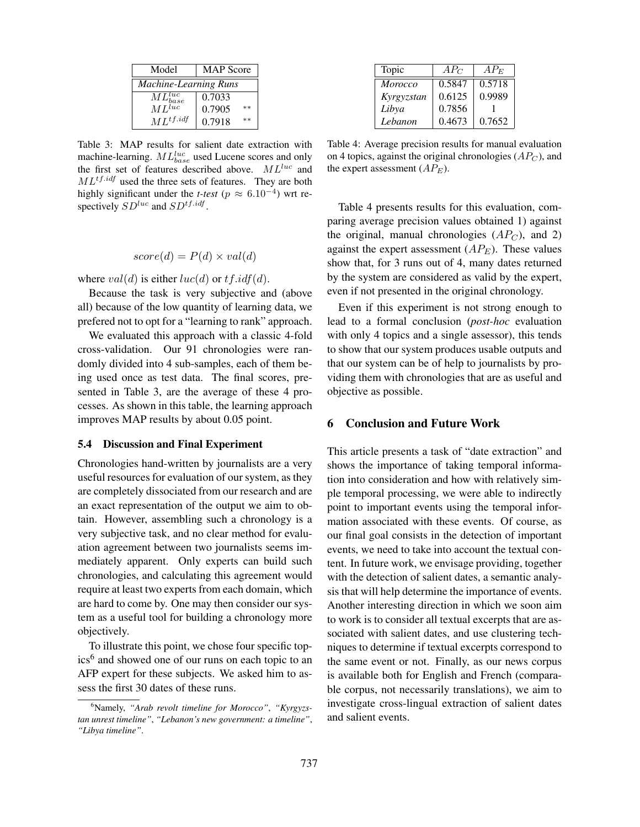| Model                              | <b>MAP</b> Score |  |
|------------------------------------|------------------|--|
| <b>Machine-Learning Runs</b>       |                  |  |
| $\frac{ML_{base}^{luc}}{ML^{luc}}$ | 0.7033           |  |
|                                    | 0.7905<br>$**$   |  |
| $ML^{tf.idf}$                      | 0.7918<br>$**$   |  |

Table 3: MAP results for salient date extraction with machine-learning.  $ML_{base}^{luc}$  used Lucene scores and only the first set of features described above.  $ML^{luc}$  and  $ML^{tf.idf}$  used the three sets of features. They are both highly significant under the *t-test* ( $p \approx 6.10^{-4}$ ) wrt respectively  $SD^{luc}$  and  $SD^{tf.idf}$ .

$$
score(d) = P(d) \times val(d)
$$

where  $val(d)$  is either  $luc(d)$  or  $tf.idf(d)$ .

Because the task is very subjective and (above all) because of the low quantity of learning data, we prefered not to opt for a "learning to rank" approach.

We evaluated this approach with a classic 4-fold cross-validation. Our 91 chronologies were randomly divided into 4 sub-samples, each of them being used once as test data. The final scores, presented in Table 3, are the average of these 4 processes. As shown in this table, the learning approach improves MAP results by about 0.05 point.

### 5.4 Discussion and Final Experiment

Chronologies hand-written by journalists are a very useful resources for evaluation of our system, as they are completely dissociated from our research and are an exact representation of the output we aim to obtain. However, assembling such a chronology is a very subjective task, and no clear method for evaluation agreement between two journalists seems immediately apparent. Only experts can build such chronologies, and calculating this agreement would require at least two experts from each domain, which are hard to come by. One may then consider our system as a useful tool for building a chronology more objectively.

To illustrate this point, we chose four specific topics<sup>6</sup> and showed one of our runs on each topic to an AFP expert for these subjects. We asked him to assess the first 30 dates of these runs.

| Topic      | $AP_C$ | $AP_E$ |
|------------|--------|--------|
| Morocco    | 0.5847 | 0.5718 |
| Kyrgyzstan | 0.6125 | 0.9989 |
| Libya      | 0.7856 |        |
| Lebanon    | 0.4673 | 0.7652 |

Table 4: Average precision results for manual evaluation on 4 topics, against the original chronologies  $(AP_C)$ , and the expert assessment  $AP_E$ ).

Table 4 presents results for this evaluation, comparing average precision values obtained 1) against the original, manual chronologies  $(AP_C)$ , and 2) against the expert assessment  $(AP_E)$ . These values show that, for 3 runs out of 4, many dates returned by the system are considered as valid by the expert, even if not presented in the original chronology.

Even if this experiment is not strong enough to lead to a formal conclusion (*post-hoc* evaluation with only 4 topics and a single assessor), this tends to show that our system produces usable outputs and that our system can be of help to journalists by providing them with chronologies that are as useful and objective as possible.

### 6 Conclusion and Future Work

This article presents a task of "date extraction" and shows the importance of taking temporal information into consideration and how with relatively simple temporal processing, we were able to indirectly point to important events using the temporal information associated with these events. Of course, as our final goal consists in the detection of important events, we need to take into account the textual content. In future work, we envisage providing, together with the detection of salient dates, a semantic analysis that will help determine the importance of events. Another interesting direction in which we soon aim to work is to consider all textual excerpts that are associated with salient dates, and use clustering techniques to determine if textual excerpts correspond to the same event or not. Finally, as our news corpus is available both for English and French (comparable corpus, not necessarily translations), we aim to investigate cross-lingual extraction of salient dates and salient events.

<sup>6</sup>Namely, *"Arab revolt timeline for Morocco"*, *"Kyrgyzstan unrest timeline"*, *"Lebanon's new government: a timeline"*, *"Libya timeline"*.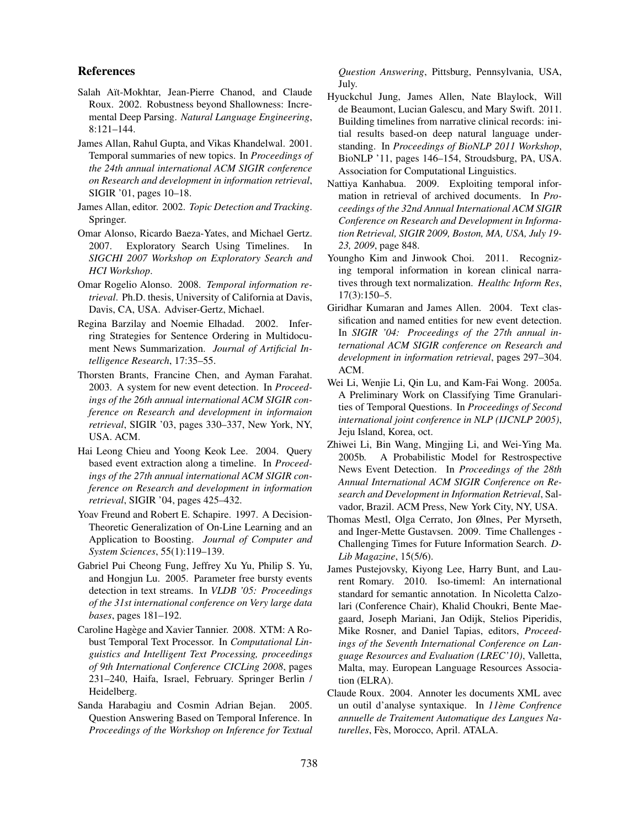## References

- Salah Aït-Mokhtar, Jean-Pierre Chanod, and Claude Roux. 2002. Robustness beyond Shallowness: Incremental Deep Parsing. *Natural Language Engineering*, 8:121–144.
- James Allan, Rahul Gupta, and Vikas Khandelwal. 2001. Temporal summaries of new topics. In *Proceedings of the 24th annual international ACM SIGIR conference on Research and development in information retrieval*, SIGIR '01, pages 10–18.
- James Allan, editor. 2002. *Topic Detection and Tracking*. Springer.
- Omar Alonso, Ricardo Baeza-Yates, and Michael Gertz. 2007. Exploratory Search Using Timelines. In *SIGCHI 2007 Workshop on Exploratory Search and HCI Workshop*.
- Omar Rogelio Alonso. 2008. *Temporal information retrieval*. Ph.D. thesis, University of California at Davis, Davis, CA, USA. Adviser-Gertz, Michael.
- Regina Barzilay and Noemie Elhadad. 2002. Inferring Strategies for Sentence Ordering in Multidocument News Summarization. *Journal of Artificial Intelligence Research*, 17:35–55.
- Thorsten Brants, Francine Chen, and Ayman Farahat. 2003. A system for new event detection. In *Proceedings of the 26th annual international ACM SIGIR conference on Research and development in informaion retrieval*, SIGIR '03, pages 330–337, New York, NY, USA. ACM.
- Hai Leong Chieu and Yoong Keok Lee. 2004. Query based event extraction along a timeline. In *Proceedings of the 27th annual international ACM SIGIR conference on Research and development in information retrieval*, SIGIR '04, pages 425–432.
- Yoav Freund and Robert E. Schapire. 1997. A Decision-Theoretic Generalization of On-Line Learning and an Application to Boosting. *Journal of Computer and System Sciences*, 55(1):119–139.
- Gabriel Pui Cheong Fung, Jeffrey Xu Yu, Philip S. Yu, and Hongjun Lu. 2005. Parameter free bursty events detection in text streams. In *VLDB '05: Proceedings of the 31st international conference on Very large data bases*, pages 181–192.
- Caroline Hagège and Xavier Tannier. 2008. XTM: A Robust Temporal Text Processor. In *Computational Linguistics and Intelligent Text Processing, proceedings of 9th International Conference CICLing 2008*, pages 231–240, Haifa, Israel, February. Springer Berlin / Heidelberg.
- Sanda Harabagiu and Cosmin Adrian Bejan. 2005. Question Answering Based on Temporal Inference. In *Proceedings of the Workshop on Inference for Textual*

*Question Answering*, Pittsburg, Pennsylvania, USA, July.

- Hyuckchul Jung, James Allen, Nate Blaylock, Will de Beaumont, Lucian Galescu, and Mary Swift. 2011. Building timelines from narrative clinical records: initial results based-on deep natural language understanding. In *Proceedings of BioNLP 2011 Workshop*, BioNLP '11, pages 146–154, Stroudsburg, PA, USA. Association for Computational Linguistics.
- Nattiya Kanhabua. 2009. Exploiting temporal information in retrieval of archived documents. In *Proceedings of the 32nd Annual International ACM SIGIR Conference on Research and Development in Information Retrieval, SIGIR 2009, Boston, MA, USA, July 19- 23, 2009*, page 848.
- Youngho Kim and Jinwook Choi. 2011. Recognizing temporal information in korean clinical narratives through text normalization. *Healthc Inform Res*, 17(3):150–5.
- Giridhar Kumaran and James Allen. 2004. Text classification and named entities for new event detection. In *SIGIR '04: Proceedings of the 27th annual international ACM SIGIR conference on Research and development in information retrieval*, pages 297–304. ACM.
- Wei Li, Wenjie Li, Qin Lu, and Kam-Fai Wong. 2005a. A Preliminary Work on Classifying Time Granularities of Temporal Questions. In *Proceedings of Second international joint conference in NLP (IJCNLP 2005)*, Jeju Island, Korea, oct.
- Zhiwei Li, Bin Wang, Mingjing Li, and Wei-Ying Ma. 2005b. A Probabilistic Model for Restrospective News Event Detection. In *Proceedings of the 28th Annual International ACM SIGIR Conference on Research and Development in Information Retrieval*, Salvador, Brazil. ACM Press, New York City, NY, USA.
- Thomas Mestl, Olga Cerrato, Jon Ølnes, Per Myrseth, and Inger-Mette Gustavsen. 2009. Time Challenges - Challenging Times for Future Information Search. *D-Lib Magazine*, 15(5/6).
- James Pustejovsky, Kiyong Lee, Harry Bunt, and Laurent Romary. 2010. Iso-timeml: An international standard for semantic annotation. In Nicoletta Calzolari (Conference Chair), Khalid Choukri, Bente Maegaard, Joseph Mariani, Jan Odijk, Stelios Piperidis, Mike Rosner, and Daniel Tapias, editors, *Proceedings of the Seventh International Conference on Language Resources and Evaluation (LREC'10)*, Valletta, Malta, may. European Language Resources Association (ELRA).
- Claude Roux. 2004. Annoter les documents XML avec un outil d'analyse syntaxique. In *11eme Confrence ` annuelle de Traitement Automatique des Langues Na*turelles, Fès, Morocco, April. ATALA.